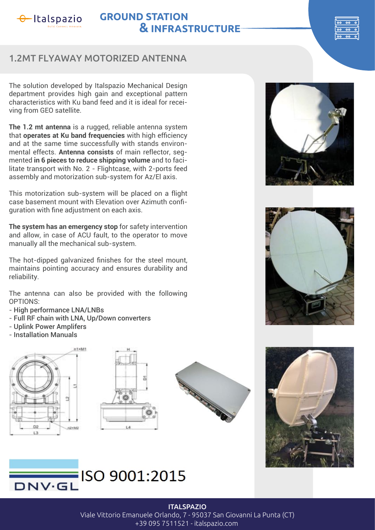

# **GROUND STATION & INFRASTRUCTURE**



## 1.2MT FLYAWAY MOTORIZED ANTENNA

The solution developed by Italspazio Mechanical Design department provides high gain and exceptional pattern characteristics with Ku band feed and it is ideal for receiving from GEO satellite.

**The 1.2 mt antenna** is a rugged, reliable antenna system that **operates at Ku band frequencies** with high efficiency and at the same time successfully with stands environmental effects. **Antenna consists** of main reflector, segmented **in 6 pieces to reduce shipping volume** and to facilitate transport with No. 2 - Flightcase, with 2-ports feed assembly and motorization sub-system for Az/El axis.

This motorization sub-system will be placed on a flight case basement mount with Elevation over Azimuth confiquration with fine adjustment on each axis.

**The system has an emergency stop** for safety intervention and allow, in case of ACU fault, to the operator to move manually all the mechanical sub-system.

The hot-dipped galvanized finishes for the steel mount, maintains pointing accuracy and ensures durability and reliability.

The antenna can also be provided with the following OPTIONS:

- High performance LNA/LNBs
- Full RF chain with LNA, Up/Down converters
- Uplink Power Amplifers
- Installation Manuals















#### **ITALSPAZIO**

Viale Vittorio Emanuele Orlando, 7 - 95037 San Giovanni La Punta (CT)

+39 095 7511521 - italspazio.com